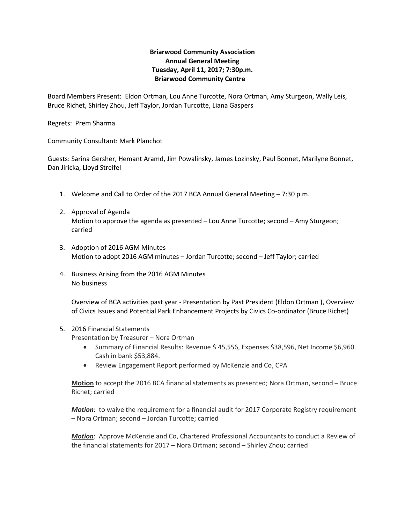## **Briarwood Community Association Annual General Meeting Tuesday, April 11, 2017; 7:30p.m. Briarwood Community Centre**

Board Members Present: Eldon Ortman, Lou Anne Turcotte, Nora Ortman, Amy Sturgeon, Wally Leis, Bruce Richet, Shirley Zhou, Jeff Taylor, Jordan Turcotte, Liana Gaspers

Regrets: Prem Sharma

Community Consultant: Mark Planchot

Guests: Sarina Gersher, Hemant Aramd, Jim Powalinsky, James Lozinsky, Paul Bonnet, Marilyne Bonnet, Dan Jiricka, Lloyd Streifel

- 1. Welcome and Call to Order of the 2017 BCA Annual General Meeting 7:30 p.m.
- 2. Approval of Agenda Motion to approve the agenda as presented – Lou Anne Turcotte; second – Amy Sturgeon; carried
- 3. Adoption of 2016 AGM Minutes Motion to adopt 2016 AGM minutes – Jordan Turcotte; second – Jeff Taylor; carried
- 4. Business Arising from the 2016 AGM Minutes No business

Overview of BCA activities past year - Presentation by Past President (Eldon Ortman ), Overview of Civics Issues and Potential Park Enhancement Projects by Civics Co-ordinator (Bruce Richet)

## 5. 2016 Financial Statements

Presentation by Treasurer – Nora Ortman

- Summary of Financial Results: Revenue \$ 45,556, Expenses \$38,596, Net Income \$6,960. Cash in bank \$53,884.
- Review Engagement Report performed by McKenzie and Co, CPA

**Motion** to accept the 2016 BCA financial statements as presented; Nora Ortman, second – Bruce Richet; carried

*Motion*: to waive the requirement for a financial audit for 2017 Corporate Registry requirement – Nora Ortman; second – Jordan Turcotte; carried

*Motion*: Approve McKenzie and Co, Chartered Professional Accountants to conduct a Review of the financial statements for 2017 – Nora Ortman; second – Shirley Zhou; carried